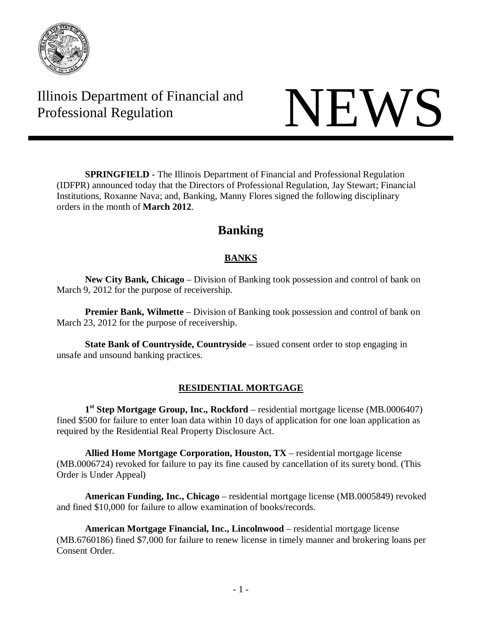

Illinois Department of Financial and The Professional Regulation NEWS

**SPRINGFIELD** - The Illinois Department of Financial and Professional Regulation (IDFPR) announced today that the Directors of Professional Regulation, Jay Stewart; Financial Institutions, Roxanne Nava; and, Banking, Manny Flores signed the following disciplinary orders in the month of **March 2012**.

# **Banking**

# **BANKS**

**New City Bank, Chicago** – Division of Banking took possession and control of bank on March 9, 2012 for the purpose of receivership.

**Premier Bank, Wilmette** – Division of Banking took possession and control of bank on March 23, 2012 for the purpose of receivership.

**State Bank of Countryside, Countryside** – issued consent order to stop engaging in unsafe and unsound banking practices.

# **RESIDENTIAL MORTGAGE**

**1st Step Mortgage Group, Inc., Rockford** – residential mortgage license (MB.0006407) fined \$500 for failure to enter loan data within 10 days of application for one loan application as required by the Residential Real Property Disclosure Act.

**Allied Home Mortgage Corporation, Houston, TX** – residential mortgage license (MB.0006724) revoked for failure to pay its fine caused by cancellation of its surety bond. (This Order is Under Appeal)

**American Funding, Inc., Chicago** – residential mortgage license (MB.0005849) revoked and fined \$10,000 for failure to allow examination of books/records.

**American Mortgage Financial, Inc., Lincolnwood** – residential mortgage license (MB.6760186) fined \$7,000 for failure to renew license in timely manner and brokering loans per Consent Order.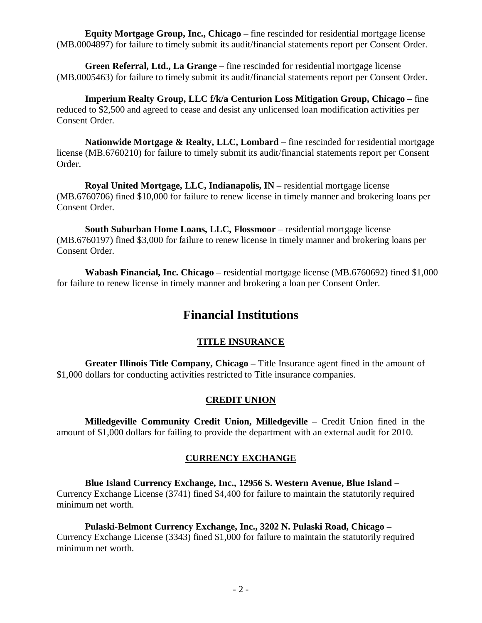**Equity Mortgage Group, Inc., Chicago** – fine rescinded for residential mortgage license (MB.0004897) for failure to timely submit its audit/financial statements report per Consent Order.

**Green Referral, Ltd., La Grange** – fine rescinded for residential mortgage license (MB.0005463) for failure to timely submit its audit/financial statements report per Consent Order.

**Imperium Realty Group, LLC f/k/a Centurion Loss Mitigation Group, Chicago** – fine reduced to \$2,500 and agreed to cease and desist any unlicensed loan modification activities per Consent Order.

**Nationwide Mortgage & Realty, LLC, Lombard** – fine rescinded for residential mortgage license (MB.6760210) for failure to timely submit its audit/financial statements report per Consent Order.

**Royal United Mortgage, LLC, Indianapolis, IN** – residential mortgage license (MB.6760706) fined \$10,000 for failure to renew license in timely manner and brokering loans per Consent Order.

South Suburban Home Loans, LLC, Flossmoor - residential mortgage license (MB.6760197) fined \$3,000 for failure to renew license in timely manner and brokering loans per Consent Order.

**Wabash Financial, Inc. Chicago** – residential mortgage license (MB.6760692) fined \$1,000 for failure to renew license in timely manner and brokering a loan per Consent Order.

# **Financial Institutions**

# **TITLE INSURANCE**

**Greater Illinois Title Company, Chicago –** Title Insurance agent fined in the amount of \$1,000 dollars for conducting activities restricted to Title insurance companies.

# **CREDIT UNION**

**Milledgeville Community Credit Union, Milledgeville** – Credit Union fined in the amount of \$1,000 dollars for failing to provide the department with an external audit for 2010.

# **CURRENCY EXCHANGE**

**Blue Island Currency Exchange, Inc., 12956 S. Western Avenue, Blue Island –** Currency Exchange License (3741) fined \$4,400 for failure to maintain the statutorily required minimum net worth.

**Pulaski-Belmont Currency Exchange, Inc., 3202 N. Pulaski Road, Chicago –** Currency Exchange License (3343) fined \$1,000 for failure to maintain the statutorily required minimum net worth.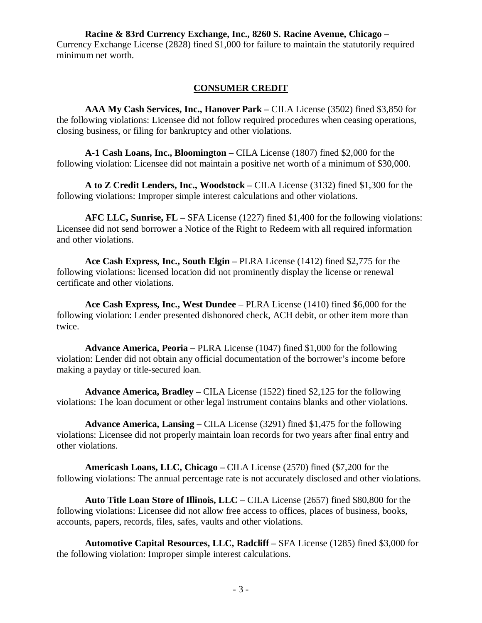**Racine & 83rd Currency Exchange, Inc., 8260 S. Racine Avenue, Chicago –** Currency Exchange License (2828) fined \$1,000 for failure to maintain the statutorily required minimum net worth.

#### **CONSUMER CREDIT**

**AAA My Cash Services, Inc., Hanover Park –** CILA License (3502) fined \$3,850 for the following violations: Licensee did not follow required procedures when ceasing operations, closing business, or filing for bankruptcy and other violations.

**A-1 Cash Loans, Inc., Bloomington** – CILA License (1807) fined \$2,000 for the following violation: Licensee did not maintain a positive net worth of a minimum of \$30,000.

**A to Z Credit Lenders, Inc., Woodstock –** CILA License (3132) fined \$1,300 for the following violations: Improper simple interest calculations and other violations.

**AFC LLC, Sunrise, FL –** SFA License (1227) fined \$1,400 for the following violations: Licensee did not send borrower a Notice of the Right to Redeem with all required information and other violations.

**Ace Cash Express, Inc., South Elgin –** PLRA License (1412) fined \$2,775 for the following violations: licensed location did not prominently display the license or renewal certificate and other violations.

**Ace Cash Express, Inc., West Dundee** – PLRA License (1410) fined \$6,000 for the following violation: Lender presented dishonored check, ACH debit, or other item more than twice.

**Advance America, Peoria –** PLRA License (1047) fined \$1,000 for the following violation: Lender did not obtain any official documentation of the borrower's income before making a payday or title-secured loan.

**Advance America, Bradley –** CILA License (1522) fined \$2,125 for the following violations: The loan document or other legal instrument contains blanks and other violations.

**Advance America, Lansing –** CILA License (3291) fined \$1,475 for the following violations: Licensee did not properly maintain loan records for two years after final entry and other violations.

**Americash Loans, LLC, Chicago –** CILA License (2570) fined (\$7,200 for the following violations: The annual percentage rate is not accurately disclosed and other violations.

**Auto Title Loan Store of Illinois, LLC** – CILA License (2657) fined \$80,800 for the following violations: Licensee did not allow free access to offices, places of business, books, accounts, papers, records, files, safes, vaults and other violations.

**Automotive Capital Resources, LLC, Radcliff –** SFA License (1285) fined \$3,000 for the following violation: Improper simple interest calculations.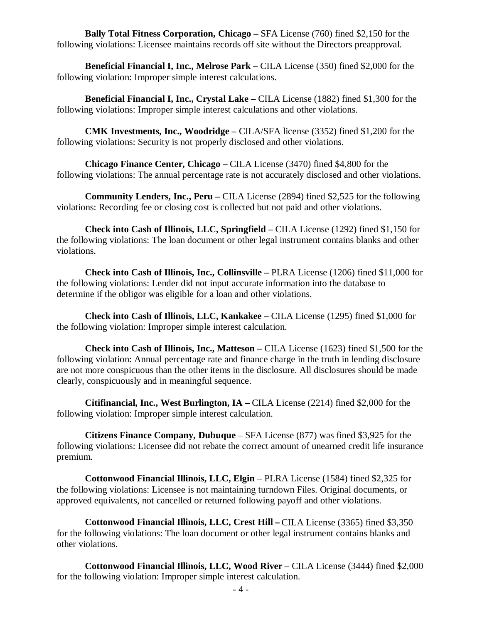**Bally Total Fitness Corporation, Chicago –** SFA License (760) fined \$2,150 for the following violations: Licensee maintains records off site without the Directors preapproval.

**Beneficial Financial I, Inc., Melrose Park –** CILA License (350) fined \$2,000 for the following violation: Improper simple interest calculations.

**Beneficial Financial I, Inc., Crystal Lake –** CILA License (1882) fined \$1,300 for the following violations: Improper simple interest calculations and other violations.

**CMK Investments, Inc., Woodridge –** CILA/SFA license (3352) fined \$1,200 for the following violations: Security is not properly disclosed and other violations.

**Chicago Finance Center, Chicago –** CILA License (3470) fined \$4,800 for the following violations: The annual percentage rate is not accurately disclosed and other violations.

**Community Lenders, Inc., Peru –** CILA License (2894) fined \$2,525 for the following violations: Recording fee or closing cost is collected but not paid and other violations.

**Check into Cash of Illinois, LLC, Springfield –** CILA License (1292) fined \$1,150 for the following violations: The loan document or other legal instrument contains blanks and other violations.

**Check into Cash of Illinois, Inc., Collinsville –** PLRA License (1206) fined \$11,000 for the following violations: Lender did not input accurate information into the database to determine if the obligor was eligible for a loan and other violations.

**Check into Cash of Illinois, LLC, Kankakee –** CILA License (1295) fined \$1,000 for the following violation: Improper simple interest calculation.

**Check into Cash of Illinois, Inc., Matteson –** CILA License (1623) fined \$1,500 for the following violation: Annual percentage rate and finance charge in the truth in lending disclosure are not more conspicuous than the other items in the disclosure. All disclosures should be made clearly, conspicuously and in meaningful sequence.

**Citifinancial, Inc., West Burlington, IA –** CILA License (2214) fined \$2,000 for the following violation: Improper simple interest calculation.

**Citizens Finance Company, Dubuque** – SFA License (877) was fined \$3,925 for the following violations: Licensee did not rebate the correct amount of unearned credit life insurance premium.

**Cottonwood Financial Illinois, LLC, Elgin** – PLRA License (1584) fined \$2,325 for the following violations: Licensee is not maintaining turndown Files. Original documents, or approved equivalents, not cancelled or returned following payoff and other violations.

**Cottonwood Financial Illinois, LLC, Crest Hill –** CILA License (3365) fined \$3,350 for the following violations: The loan document or other legal instrument contains blanks and other violations.

**Cottonwood Financial Illinois, LLC, Wood River** – CILA License (3444) fined \$2,000 for the following violation: Improper simple interest calculation.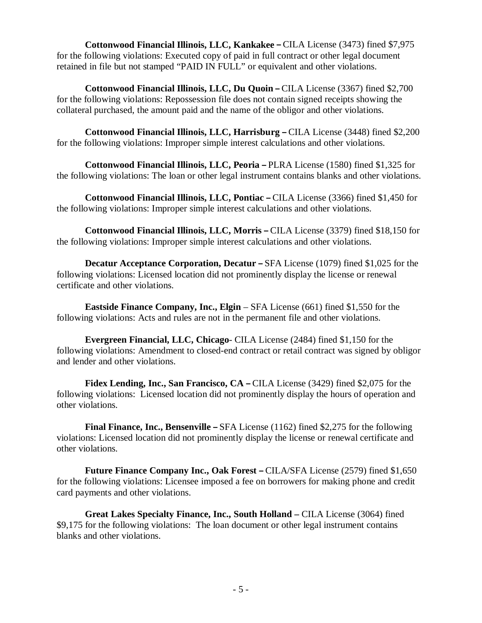**Cottonwood Financial Illinois, LLC, Kankakee –** CILA License (3473) fined \$7,975 for the following violations: Executed copy of paid in full contract or other legal document retained in file but not stamped "PAID IN FULL" or equivalent and other violations.

**Cottonwood Financial Illinois, LLC, Du Quoin –** CILA License (3367) fined \$2,700 for the following violations: Repossession file does not contain signed receipts showing the collateral purchased, the amount paid and the name of the obligor and other violations.

**Cottonwood Financial Illinois, LLC, Harrisburg –** CILA License (3448) fined \$2,200 for the following violations: Improper simple interest calculations and other violations.

**Cottonwood Financial Illinois, LLC, Peoria –** PLRA License (1580) fined \$1,325 for the following violations: The loan or other legal instrument contains blanks and other violations.

**Cottonwood Financial Illinois, LLC, Pontiac –** CILA License (3366) fined \$1,450 for the following violations: Improper simple interest calculations and other violations.

**Cottonwood Financial Illinois, LLC, Morris –** CILA License (3379) fined \$18,150 for the following violations: Improper simple interest calculations and other violations.

**Decatur Acceptance Corporation, Decatur –** SFA License (1079) fined \$1,025 for the following violations: Licensed location did not prominently display the license or renewal certificate and other violations.

**Eastside Finance Company, Inc., Elgin** – SFA License (661) fined \$1,550 for the following violations: Acts and rules are not in the permanent file and other violations.

**Evergreen Financial, LLC, Chicago**- CILA License (2484) fined \$1,150 for the following violations: Amendment to closed-end contract or retail contract was signed by obligor and lender and other violations.

**Fidex Lending, Inc., San Francisco, CA –** CILA License (3429) fined \$2,075 for the following violations: Licensed location did not prominently display the hours of operation and other violations.

**Final Finance, Inc., Bensenville –** SFA License (1162) fined \$2,275 for the following violations: Licensed location did not prominently display the license or renewal certificate and other violations.

**Future Finance Company Inc., Oak Forest –** CILA/SFA License (2579) fined \$1,650 for the following violations: Licensee imposed a fee on borrowers for making phone and credit card payments and other violations.

**Great Lakes Specialty Finance, Inc., South Holland –** CILA License (3064) fined \$9,175 for the following violations: The loan document or other legal instrument contains blanks and other violations.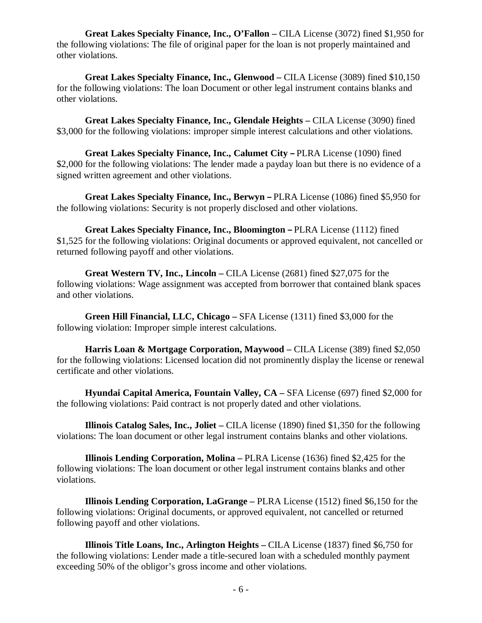**Great Lakes Specialty Finance, Inc., O'Fallon –** CILA License (3072) fined \$1,950 for the following violations: The file of original paper for the loan is not properly maintained and other violations.

**Great Lakes Specialty Finance, Inc., Glenwood –** CILA License (3089) fined \$10,150 for the following violations: The loan Document or other legal instrument contains blanks and other violations.

**Great Lakes Specialty Finance, Inc., Glendale Heights –** CILA License (3090) fined \$3,000 for the following violations: improper simple interest calculations and other violations.

**Great Lakes Specialty Finance, Inc., Calumet City –** PLRA License (1090) fined \$2,000 for the following violations: The lender made a payday loan but there is no evidence of a signed written agreement and other violations.

**Great Lakes Specialty Finance, Inc., Berwyn –** PLRA License (1086) fined \$5,950 for the following violations: Security is not properly disclosed and other violations.

**Great Lakes Specialty Finance, Inc., Bloomington –** PLRA License (1112) fined \$1,525 for the following violations: Original documents or approved equivalent, not cancelled or returned following payoff and other violations.

**Great Western TV, Inc., Lincoln –** CILA License (2681) fined \$27,075 for the following violations: Wage assignment was accepted from borrower that contained blank spaces and other violations.

**Green Hill Financial, LLC, Chicago –** SFA License (1311) fined \$3,000 for the following violation: Improper simple interest calculations.

**Harris Loan & Mortgage Corporation, Maywood –** CILA License (389) fined \$2,050 for the following violations: Licensed location did not prominently display the license or renewal certificate and other violations.

**Hyundai Capital America, Fountain Valley, CA –** SFA License (697) fined \$2,000 for the following violations: Paid contract is not properly dated and other violations.

**Illinois Catalog Sales, Inc., Joliet –** CILA license (1890) fined \$1,350 for the following violations: The loan document or other legal instrument contains blanks and other violations.

**Illinois Lending Corporation, Molina –** PLRA License (1636) fined \$2,425 for the following violations: The loan document or other legal instrument contains blanks and other violations.

**Illinois Lending Corporation, LaGrange –** PLRA License (1512) fined \$6,150 for the following violations: Original documents, or approved equivalent, not cancelled or returned following payoff and other violations.

**Illinois Title Loans, Inc., Arlington Heights –** CILA License (1837) fined \$6,750 for the following violations: Lender made a title-secured loan with a scheduled monthly payment exceeding 50% of the obligor's gross income and other violations.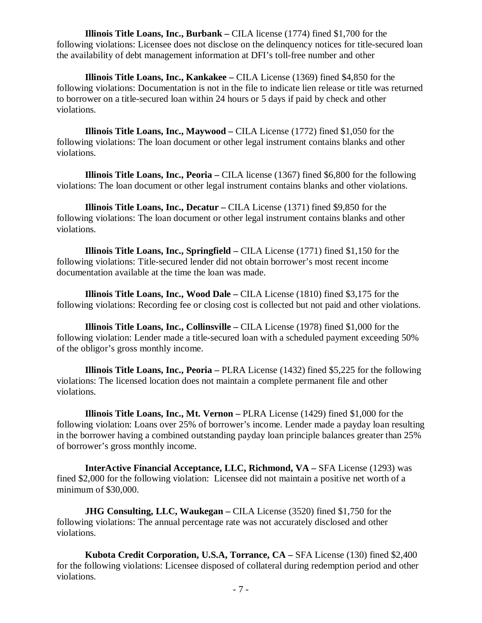**Illinois Title Loans, Inc., Burbank –** CILA license (1774) fined \$1,700 for the following violations: Licensee does not disclose on the delinquency notices for title-secured loan the availability of debt management information at DFI's toll-free number and other

**Illinois Title Loans, Inc., Kankakee –** CILA License (1369) fined \$4,850 for the following violations: Documentation is not in the file to indicate lien release or title was returned to borrower on a title-secured loan within 24 hours or 5 days if paid by check and other violations.

**Illinois Title Loans, Inc., Maywood –** CILA License (1772) fined \$1,050 for the following violations: The loan document or other legal instrument contains blanks and other violations.

**Illinois Title Loans, Inc., Peoria –** CILA license (1367) fined \$6,800 for the following violations: The loan document or other legal instrument contains blanks and other violations.

**Illinois Title Loans, Inc., Decatur –** CILA License (1371) fined \$9,850 for the following violations: The loan document or other legal instrument contains blanks and other violations.

**Illinois Title Loans, Inc., Springfield –** CILA License (1771) fined \$1,150 for the following violations: Title-secured lender did not obtain borrower's most recent income documentation available at the time the loan was made.

**Illinois Title Loans, Inc., Wood Dale –** CILA License (1810) fined \$3,175 for the following violations: Recording fee or closing cost is collected but not paid and other violations.

**Illinois Title Loans, Inc., Collinsville –** CILA License (1978) fined \$1,000 for the following violation: Lender made a title-secured loan with a scheduled payment exceeding 50% of the obligor's gross monthly income.

**Illinois Title Loans, Inc., Peoria –** PLRA License (1432) fined \$5,225 for the following violations: The licensed location does not maintain a complete permanent file and other violations.

**Illinois Title Loans, Inc., Mt. Vernon –** PLRA License (1429) fined \$1,000 for the following violation: Loans over 25% of borrower's income. Lender made a payday loan resulting in the borrower having a combined outstanding payday loan principle balances greater than 25% of borrower's gross monthly income.

**InterActive Financial Acceptance, LLC, Richmond, VA –** SFA License (1293) was fined \$2,000 for the following violation: Licensee did not maintain a positive net worth of a minimum of \$30,000.

**JHG Consulting, LLC, Waukegan** – CILA License (3520) fined \$1,750 for the following violations: The annual percentage rate was not accurately disclosed and other violations.

**Kubota Credit Corporation, U.S.A, Torrance, CA –** SFA License (130) fined \$2,400 for the following violations: Licensee disposed of collateral during redemption period and other violations.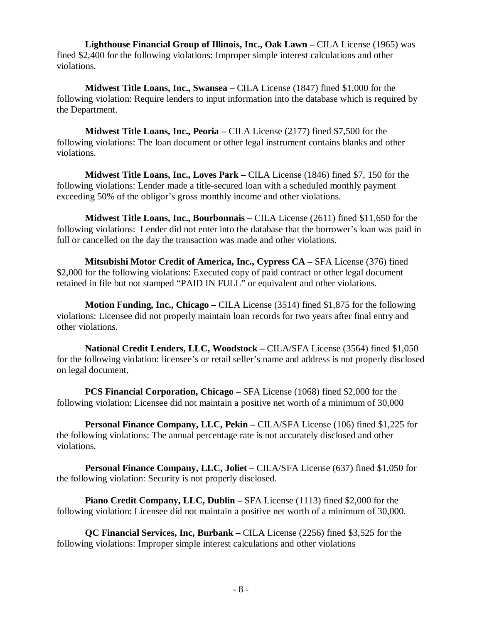**Lighthouse Financial Group of Illinois, Inc., Oak Lawn –** CILA License (1965) was fined \$2,400 for the following violations: Improper simple interest calculations and other violations.

**Midwest Title Loans, Inc., Swansea –** CILA License (1847) fined \$1,000 for the following violation: Require lenders to input information into the database which is required by the Department.

**Midwest Title Loans, Inc., Peoria –** CILA License (2177) fined \$7,500 for the following violations: The loan document or other legal instrument contains blanks and other violations.

**Midwest Title Loans, Inc., Loves Park –** CILA License (1846) fined \$7, 150 for the following violations: Lender made a title-secured loan with a scheduled monthly payment exceeding 50% of the obligor's gross monthly income and other violations.

**Midwest Title Loans, Inc., Bourbonnais –** CILA License (2611) fined \$11,650 for the following violations: Lender did not enter into the database that the borrower's loan was paid in full or cancelled on the day the transaction was made and other violations.

**Mitsubishi Motor Credit of America, Inc., Cypress CA –** SFA License (376) fined \$2,000 for the following violations: Executed copy of paid contract or other legal document retained in file but not stamped "PAID IN FULL" or equivalent and other violations.

**Motion Funding, Inc., Chicago –** CILA License (3514) fined \$1,875 for the following violations: Licensee did not properly maintain loan records for two years after final entry and other violations.

**National Credit Lenders, LLC, Woodstock –** CILA/SFA License (3564) fined \$1,050 for the following violation: licensee's or retail seller's name and address is not properly disclosed on legal document.

**PCS Financial Corporation, Chicago –** SFA License (1068) fined \$2,000 for the following violation: Licensee did not maintain a positive net worth of a minimum of 30,000

**Personal Finance Company, LLC, Pekin –** CILA/SFA License (106) fined \$1,225 for the following violations: The annual percentage rate is not accurately disclosed and other violations.

**Personal Finance Company, LLC, Joliet –** CILA/SFA License (637) fined \$1,050 for the following violation: Security is not properly disclosed.

**Piano Credit Company, LLC, Dublin –** SFA License (1113) fined \$2,000 for the following violation: Licensee did not maintain a positive net worth of a minimum of 30,000.

**QC Financial Services, Inc, Burbank –** CILA License (2256) fined \$3,525 for the following violations: Improper simple interest calculations and other violations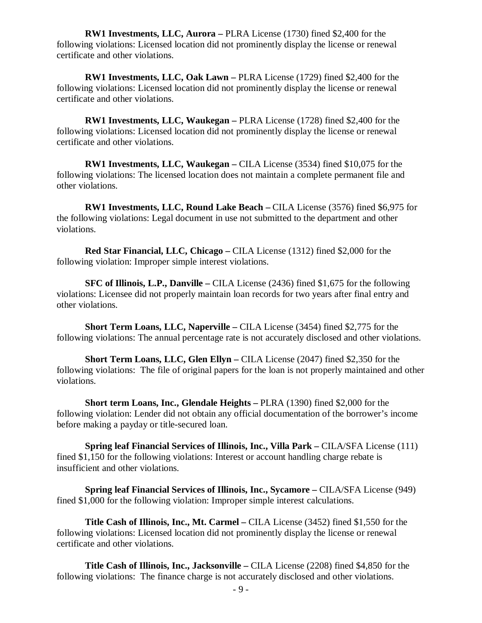**RW1 Investments, LLC, Aurora –** PLRA License (1730) fined \$2,400 for the following violations: Licensed location did not prominently display the license or renewal certificate and other violations.

**RW1 Investments, LLC, Oak Lawn –** PLRA License (1729) fined \$2,400 for the following violations: Licensed location did not prominently display the license or renewal certificate and other violations.

**RW1 Investments, LLC, Waukegan –** PLRA License (1728) fined \$2,400 for the following violations: Licensed location did not prominently display the license or renewal certificate and other violations.

**RW1 Investments, LLC, Waukegan –** CILA License (3534) fined \$10,075 for the following violations: The licensed location does not maintain a complete permanent file and other violations.

**RW1 Investments, LLC, Round Lake Beach –** CILA License (3576) fined \$6,975 for the following violations: Legal document in use not submitted to the department and other violations.

**Red Star Financial, LLC, Chicago –** CILA License (1312) fined \$2,000 for the following violation: Improper simple interest violations.

**SFC of Illinois, L.P., Danville –** CILA License (2436) fined \$1,675 for the following violations: Licensee did not properly maintain loan records for two years after final entry and other violations.

**Short Term Loans, LLC, Naperville –** CILA License (3454) fined \$2,775 for the following violations: The annual percentage rate is not accurately disclosed and other violations.

**Short Term Loans, LLC, Glen Ellyn –** CILA License (2047) fined \$2,350 for the following violations: The file of original papers for the loan is not properly maintained and other violations.

**Short term Loans, Inc., Glendale Heights –** PLRA (1390) fined \$2,000 for the following violation: Lender did not obtain any official documentation of the borrower's income before making a payday or title-secured loan.

**Spring leaf Financial Services of Illinois, Inc., Villa Park –** CILA/SFA License (111) fined \$1,150 for the following violations: Interest or account handling charge rebate is insufficient and other violations.

**Spring leaf Financial Services of Illinois, Inc., Sycamore –** CILA/SFA License (949) fined \$1,000 for the following violation: Improper simple interest calculations.

**Title Cash of Illinois, Inc., Mt. Carmel –** CILA License (3452) fined \$1,550 for the following violations: Licensed location did not prominently display the license or renewal certificate and other violations.

**Title Cash of Illinois, Inc., Jacksonville –** CILA License (2208) fined \$4,850 for the following violations: The finance charge is not accurately disclosed and other violations.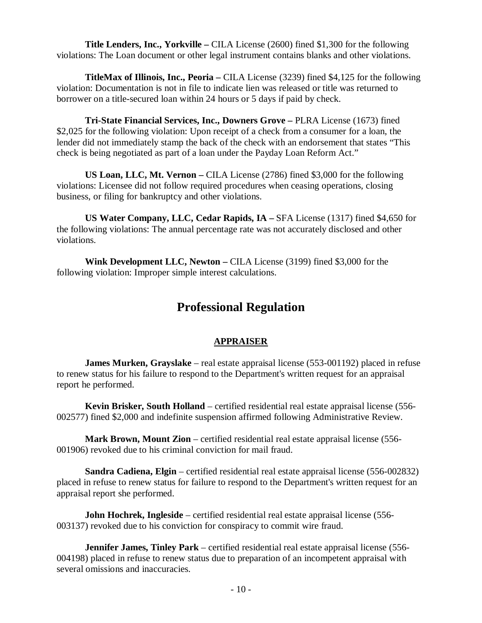**Title Lenders, Inc., Yorkville –** CILA License (2600) fined \$1,300 for the following violations: The Loan document or other legal instrument contains blanks and other violations.

**TitleMax of Illinois, Inc., Peoria –** CILA License (3239) fined \$4,125 for the following violation: Documentation is not in file to indicate lien was released or title was returned to borrower on a title-secured loan within 24 hours or 5 days if paid by check.

**Tri-State Financial Services, Inc., Downers Grove –** PLRA License (1673) fined \$2,025 for the following violation: Upon receipt of a check from a consumer for a loan, the lender did not immediately stamp the back of the check with an endorsement that states "This check is being negotiated as part of a loan under the Payday Loan Reform Act."

**US Loan, LLC, Mt. Vernon –** CILA License (2786) fined \$3,000 for the following violations: Licensee did not follow required procedures when ceasing operations, closing business, or filing for bankruptcy and other violations.

**US Water Company, LLC, Cedar Rapids, IA –** SFA License (1317) fined \$4,650 for the following violations: The annual percentage rate was not accurately disclosed and other violations.

**Wink Development LLC, Newton –** CILA License (3199) fined \$3,000 for the following violation: Improper simple interest calculations.

# **Professional Regulation**

### **APPRAISER**

**James Murken, Grayslake** – real estate appraisal license (553-001192) placed in refuse to renew status for his failure to respond to the Department's written request for an appraisal report he performed.

**Kevin Brisker, South Holland** – certified residential real estate appraisal license (556- 002577) fined \$2,000 and indefinite suspension affirmed following Administrative Review.

**Mark Brown, Mount Zion** – certified residential real estate appraisal license (556- 001906) revoked due to his criminal conviction for mail fraud.

**Sandra Cadiena, Elgin** – certified residential real estate appraisal license (556-002832) placed in refuse to renew status for failure to respond to the Department's written request for an appraisal report she performed.

**John Hochrek, Ingleside** – certified residential real estate appraisal license (556-003137) revoked due to his conviction for conspiracy to commit wire fraud.

**Jennifer James, Tinley Park** – certified residential real estate appraisal license (556- 004198) placed in refuse to renew status due to preparation of an incompetent appraisal with several omissions and inaccuracies.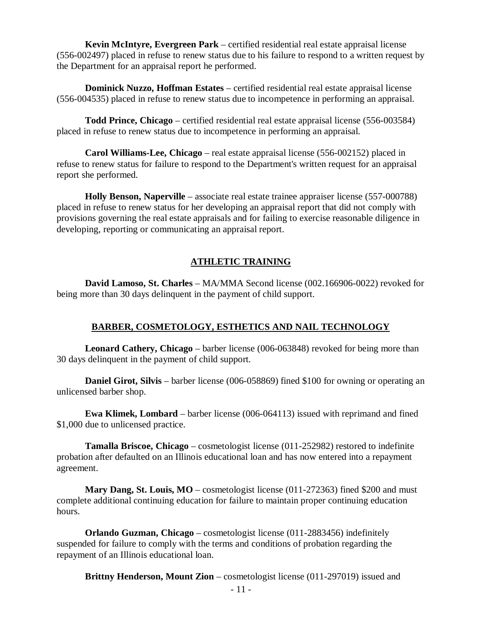**Kevin McIntyre, Evergreen Park** – certified residential real estate appraisal license (556-002497) placed in refuse to renew status due to his failure to respond to a written request by the Department for an appraisal report he performed.

**Dominick Nuzzo, Hoffman Estates** – certified residential real estate appraisal license (556-004535) placed in refuse to renew status due to incompetence in performing an appraisal.

**Todd Prince, Chicago** – certified residential real estate appraisal license (556-003584) placed in refuse to renew status due to incompetence in performing an appraisal.

**Carol Williams-Lee, Chicago** – real estate appraisal license (556-002152) placed in refuse to renew status for failure to respond to the Department's written request for an appraisal report she performed.

**Holly Benson, Naperville** – associate real estate trainee appraiser license (557-000788) placed in refuse to renew status for her developing an appraisal report that did not comply with provisions governing the real estate appraisals and for failing to exercise reasonable diligence in developing, reporting or communicating an appraisal report.

# **ATHLETIC TRAINING**

**David Lamoso, St. Charles** – MA/MMA Second license (002.166906-0022) revoked for being more than 30 days delinquent in the payment of child support.

# **BARBER, COSMETOLOGY, ESTHETICS AND NAIL TECHNOLOGY**

**Leonard Cathery, Chicago** – barber license (006-063848) revoked for being more than 30 days delinquent in the payment of child support.

**Daniel Girot, Silvis** – barber license (006-058869) fined \$100 for owning or operating an unlicensed barber shop.

**Ewa Klimek, Lombard** – barber license (006-064113) issued with reprimand and fined \$1,000 due to unlicensed practice.

**Tamalla Briscoe, Chicago** – cosmetologist license (011-252982) restored to indefinite probation after defaulted on an Illinois educational loan and has now entered into a repayment agreement.

**Mary Dang, St. Louis, MO** – cosmetologist license (011-272363) fined \$200 and must complete additional continuing education for failure to maintain proper continuing education hours.

**Orlando Guzman, Chicago** – cosmetologist license (011-2883456) indefinitely suspended for failure to comply with the terms and conditions of probation regarding the repayment of an Illinois educational loan.

**Brittny Henderson, Mount Zion** – cosmetologist license (011-297019) issued and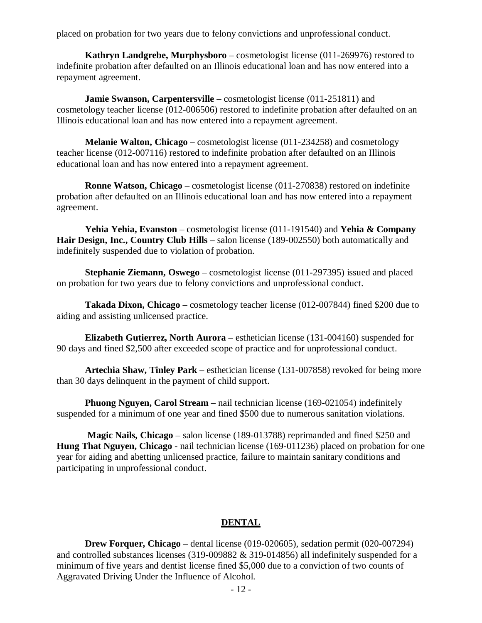placed on probation for two years due to felony convictions and unprofessional conduct.

**Kathryn Landgrebe, Murphysboro** – cosmetologist license (011-269976) restored to indefinite probation after defaulted on an Illinois educational loan and has now entered into a repayment agreement.

**Jamie Swanson, Carpentersville** – cosmetologist license (011-251811) and cosmetology teacher license (012-006506) restored to indefinite probation after defaulted on an Illinois educational loan and has now entered into a repayment agreement.

**Melanie Walton, Chicago** – cosmetologist license (011-234258) and cosmetology teacher license (012-007116) restored to indefinite probation after defaulted on an Illinois educational loan and has now entered into a repayment agreement.

**Ronne Watson, Chicago** – cosmetologist license (011-270838) restored on indefinite probation after defaulted on an Illinois educational loan and has now entered into a repayment agreement.

**Yehia Yehia, Evanston** – cosmetologist license (011-191540) and **Yehia & Company Hair Design, Inc., Country Club Hills** – salon license (189-002550) both automatically and indefinitely suspended due to violation of probation.

**Stephanie Ziemann, Oswego** – cosmetologist license (011-297395) issued and placed on probation for two years due to felony convictions and unprofessional conduct.

**Takada Dixon, Chicago** – cosmetology teacher license (012-007844) fined \$200 due to aiding and assisting unlicensed practice.

**Elizabeth Gutierrez, North Aurora** – esthetician license (131-004160) suspended for 90 days and fined \$2,500 after exceeded scope of practice and for unprofessional conduct.

**Artechia Shaw, Tinley Park** – esthetician license (131-007858) revoked for being more than 30 days delinquent in the payment of child support.

**Phuong Nguyen, Carol Stream** – nail technician license (169-021054) indefinitely suspended for a minimum of one year and fined \$500 due to numerous sanitation violations.

**Magic Nails, Chicago** – salon license (189-013788) reprimanded and fined \$250 and **Hung That Nguyen, Chicago** - nail technician license (169-011236) placed on probation for one year for aiding and abetting unlicensed practice, failure to maintain sanitary conditions and participating in unprofessional conduct.

### **DENTAL**

**Drew Forquer, Chicago** – dental license (019-020605), sedation permit (020-007294) and controlled substances licenses (319-009882 & 319-014856) all indefinitely suspended for a minimum of five years and dentist license fined \$5,000 due to a conviction of two counts of Aggravated Driving Under the Influence of Alcohol.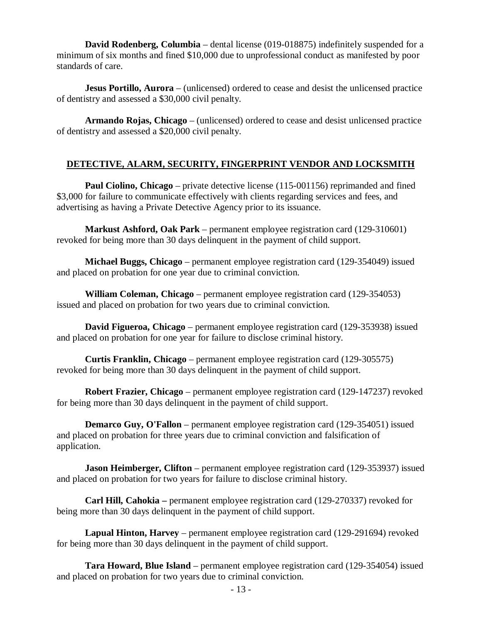**David Rodenberg, Columbia** – dental license (019-018875) indefinitely suspended for a minimum of six months and fined \$10,000 due to unprofessional conduct as manifested by poor standards of care.

**Jesus Portillo, Aurora** – (unlicensed) ordered to cease and desist the unlicensed practice of dentistry and assessed a \$30,000 civil penalty.

**Armando Rojas, Chicago** – (unlicensed) ordered to cease and desist unlicensed practice of dentistry and assessed a \$20,000 civil penalty.

# **DETECTIVE, ALARM, SECURITY, FINGERPRINT VENDOR AND LOCKSMITH**

**Paul Ciolino, Chicago** – private detective license (115-001156) reprimanded and fined \$3,000 for failure to communicate effectively with clients regarding services and fees, and advertising as having a Private Detective Agency prior to its issuance.

**Markust Ashford, Oak Park** – permanent employee registration card (129-310601) revoked for being more than 30 days delinquent in the payment of child support.

**Michael Buggs, Chicago** – permanent employee registration card (129-354049) issued and placed on probation for one year due to criminal conviction.

**William Coleman, Chicago** – permanent employee registration card (129-354053) issued and placed on probation for two years due to criminal conviction.

**David Figueroa, Chicago** – permanent employee registration card (129-353938) issued and placed on probation for one year for failure to disclose criminal history.

**Curtis Franklin, Chicago** – permanent employee registration card (129-305575) revoked for being more than 30 days delinquent in the payment of child support.

**Robert Frazier, Chicago** – permanent employee registration card (129-147237) revoked for being more than 30 days delinquent in the payment of child support.

**Demarco Guy, O'Fallon** – permanent employee registration card (129-354051) issued and placed on probation for three years due to criminal conviction and falsification of application.

**Jason Heimberger, Clifton** – permanent employee registration card (129-353937) issued and placed on probation for two years for failure to disclose criminal history.

**Carl Hill, Cahokia –** permanent employee registration card (129-270337) revoked for being more than 30 days delinquent in the payment of child support.

**Lapual Hinton, Harvey** – permanent employee registration card (129-291694) revoked for being more than 30 days delinquent in the payment of child support.

**Tara Howard, Blue Island** – permanent employee registration card (129-354054) issued and placed on probation for two years due to criminal conviction.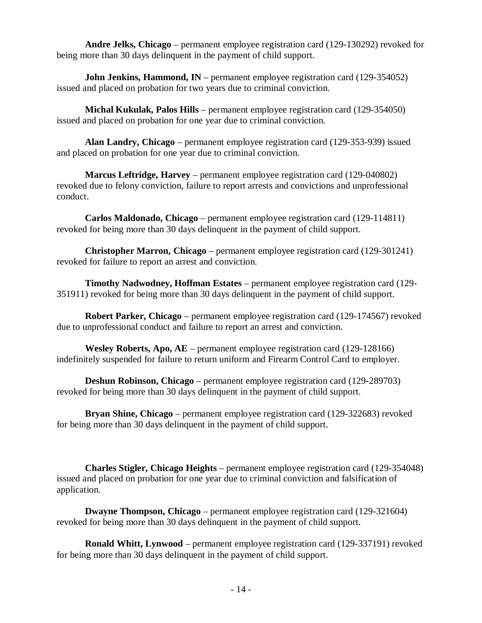**Andre Jelks, Chicago** – permanent employee registration card (129-130292) revoked for being more than 30 days delinquent in the payment of child support.

**John Jenkins, Hammond, IN** – permanent employee registration card (129-354052) issued and placed on probation for two years due to criminal conviction.

**Michal Kukulak, Palos Hills** – permanent employee registration card (129-354050) issued and placed on probation for one year due to criminal conviction.

**Alan Landry, Chicago** – permanent employee registration card (129-353-939) issued and placed on probation for one year due to criminal conviction.

**Marcus Leftridge, Harvey** – permanent employee registration card (129-040802) revoked due to felony conviction, failure to report arrests and convictions and unprofessional conduct.

**Carlos Maldonado, Chicago** – permanent employee registration card (129-114811) revoked for being more than 30 days delinquent in the payment of child support.

**Christopher Marron, Chicago** – permanent employee registration card (129-301241) revoked for failure to report an arrest and conviction.

**Timothy Nadwodney, Hoffman Estates** – permanent employee registration card (129- 351911) revoked for being more than 30 days delinquent in the payment of child support.

**Robert Parker, Chicago** – permanent employee registration card (129-174567) revoked due to unprofessional conduct and failure to report an arrest and conviction.

**Wesley Roberts, Apo, AE** – permanent employee registration card (129-128166) indefinitely suspended for failure to return uniform and Firearm Control Card to employer.

**Deshun Robinson, Chicago** – permanent employee registration card (129-289703) revoked for being more than 30 days delinquent in the payment of child support.

**Bryan Shine, Chicago** – permanent employee registration card (129-322683) revoked for being more than 30 days delinquent in the payment of child support.

**Charles Stigler, Chicago Heights** – permanent employee registration card (129-354048) issued and placed on probation for one year due to criminal conviction and falsification of application.

**Dwayne Thompson, Chicago** – permanent employee registration card (129-321604) revoked for being more than 30 days delinquent in the payment of child support.

**Ronald Whitt, Lynwood** – permanent employee registration card (129-337191) revoked for being more than 30 days delinquent in the payment of child support.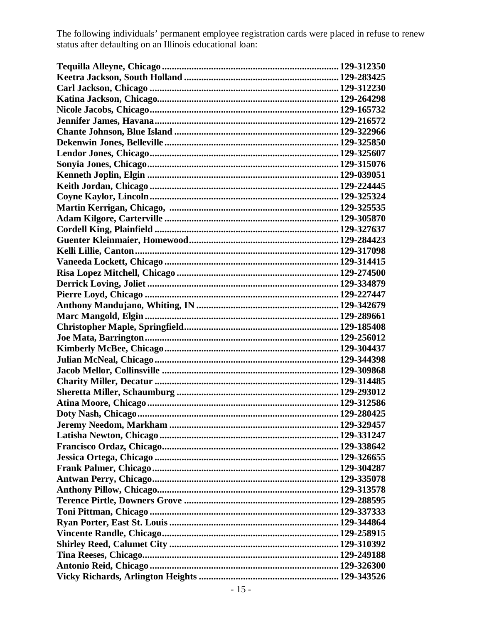The following individuals' permanent employee registration cards were placed in refuse to renew status after defaulting on an Illinois educational loan: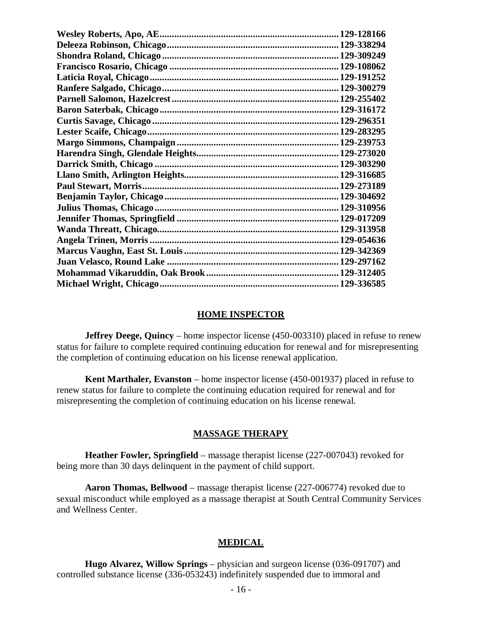#### **HOME INSPECTOR**

**Jeffrey Deege, Quincy** – home inspector license (450-003310) placed in refuse to renew status for failure to complete required continuing education for renewal and for misrepresenting the completion of continuing education on his license renewal application.

**Kent Marthaler, Evanston** – home inspector license (450-001937) placed in refuse to renew status for failure to complete the continuing education required for renewal and for misrepresenting the completion of continuing education on his license renewal.

#### **MASSAGE THERAPY**

**Heather Fowler, Springfield** – massage therapist license (227-007043) revoked for being more than 30 days delinquent in the payment of child support.

**Aaron Thomas, Bellwood** – massage therapist license (227-006774) revoked due to sexual misconduct while employed as a massage therapist at South Central Community Services and Wellness Center.

#### **MEDICAL**

**Hugo Alvarez, Willow Springs** – physician and surgeon license (036-091707) and controlled substance license (336-053243) indefinitely suspended due to immoral and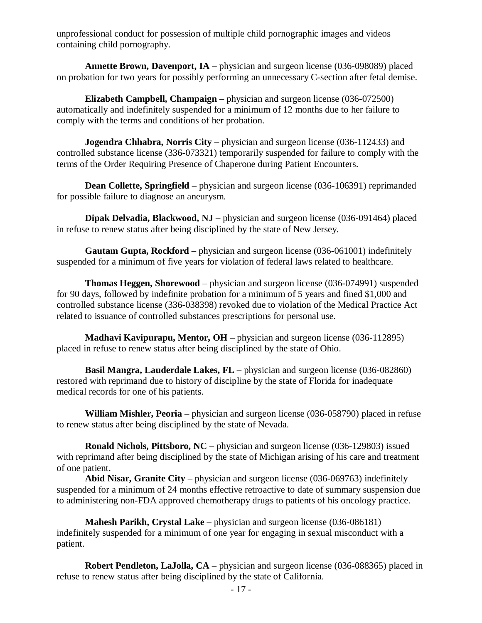unprofessional conduct for possession of multiple child pornographic images and videos containing child pornography.

**Annette Brown, Davenport, IA** – physician and surgeon license (036-098089) placed on probation for two years for possibly performing an unnecessary C-section after fetal demise.

**Elizabeth Campbell, Champaign** – physician and surgeon license (036-072500) automatically and indefinitely suspended for a minimum of 12 months due to her failure to comply with the terms and conditions of her probation.

**Jogendra Chhabra, Norris City** – physician and surgeon license (036-112433) and controlled substance license (336-073321) temporarily suspended for failure to comply with the terms of the Order Requiring Presence of Chaperone during Patient Encounters.

**Dean Collette, Springfield** – physician and surgeon license (036-106391) reprimanded for possible failure to diagnose an aneurysm.

**Dipak Delvadia, Blackwood, NJ** – physician and surgeon license (036-091464) placed in refuse to renew status after being disciplined by the state of New Jersey.

**Gautam Gupta, Rockford** – physician and surgeon license (036-061001) indefinitely suspended for a minimum of five years for violation of federal laws related to healthcare.

**Thomas Heggen, Shorewood** – physician and surgeon license (036-074991) suspended for 90 days, followed by indefinite probation for a minimum of 5 years and fined \$1,000 and controlled substance license (336-038398) revoked due to violation of the Medical Practice Act related to issuance of controlled substances prescriptions for personal use.

**Madhavi Kavipurapu, Mentor, OH** – physician and surgeon license (036-112895) placed in refuse to renew status after being disciplined by the state of Ohio.

**Basil Mangra, Lauderdale Lakes, FL** – physician and surgeon license (036-082860) restored with reprimand due to history of discipline by the state of Florida for inadequate medical records for one of his patients.

**William Mishler, Peoria** – physician and surgeon license (036-058790) placed in refuse to renew status after being disciplined by the state of Nevada.

**Ronald Nichols, Pittsboro, NC** – physician and surgeon license (036-129803) issued with reprimand after being disciplined by the state of Michigan arising of his care and treatment of one patient.

**Abid Nisar, Granite City** – physician and surgeon license (036-069763) indefinitely suspended for a minimum of 24 months effective retroactive to date of summary suspension due to administering non-FDA approved chemotherapy drugs to patients of his oncology practice.

**Mahesh Parikh, Crystal Lake** – physician and surgeon license (036-086181) indefinitely suspended for a minimum of one year for engaging in sexual misconduct with a patient.

**Robert Pendleton, LaJolla, CA** – physician and surgeon license (036-088365) placed in refuse to renew status after being disciplined by the state of California.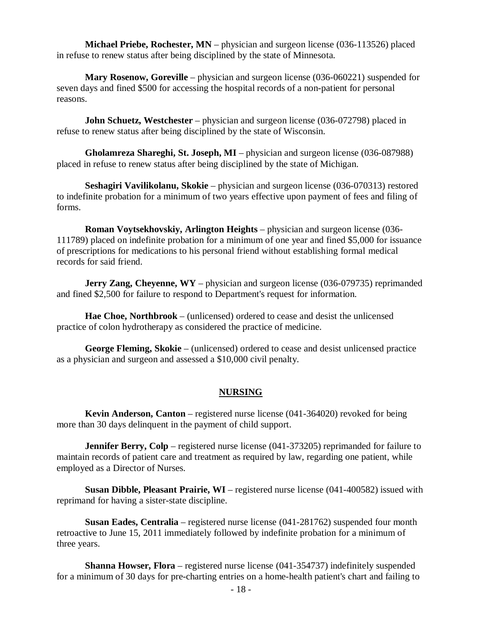**Michael Priebe, Rochester, MN** – physician and surgeon license (036-113526) placed in refuse to renew status after being disciplined by the state of Minnesota.

**Mary Rosenow, Goreville** – physician and surgeon license (036-060221) suspended for seven days and fined \$500 for accessing the hospital records of a non-patient for personal reasons.

**John Schuetz, Westchester** – physician and surgeon license (036-072798) placed in refuse to renew status after being disciplined by the state of Wisconsin.

**Gholamreza Shareghi, St. Joseph, MI** – physician and surgeon license (036-087988) placed in refuse to renew status after being disciplined by the state of Michigan.

**Seshagiri Vavilikolanu, Skokie** – physician and surgeon license (036-070313) restored to indefinite probation for a minimum of two years effective upon payment of fees and filing of forms.

**Roman Voytsekhovskiy, Arlington Heights** – physician and surgeon license (036- 111789) placed on indefinite probation for a minimum of one year and fined \$5,000 for issuance of prescriptions for medications to his personal friend without establishing formal medical records for said friend.

**Jerry Zang, Cheyenne, WY** – physician and surgeon license (036-079735) reprimanded and fined \$2,500 for failure to respond to Department's request for information.

**Hae Choe, Northbrook** – (unlicensed) ordered to cease and desist the unlicensed practice of colon hydrotherapy as considered the practice of medicine.

**George Fleming, Skokie** – (unlicensed) ordered to cease and desist unlicensed practice as a physician and surgeon and assessed a \$10,000 civil penalty.

#### **NURSING**

**Kevin Anderson, Canton** – registered nurse license (041-364020) revoked for being more than 30 days delinquent in the payment of child support.

**Jennifer Berry, Colp** – registered nurse license (041-373205) reprimanded for failure to maintain records of patient care and treatment as required by law, regarding one patient, while employed as a Director of Nurses.

**Susan Dibble, Pleasant Prairie, WI** – registered nurse license (041-400582) issued with reprimand for having a sister-state discipline.

**Susan Eades, Centralia** – registered nurse license (041-281762) suspended four month retroactive to June 15, 2011 immediately followed by indefinite probation for a minimum of three years.

**Shanna Howser, Flora** – registered nurse license (041-354737) indefinitely suspended for a minimum of 30 days for pre-charting entries on a home-health patient's chart and failing to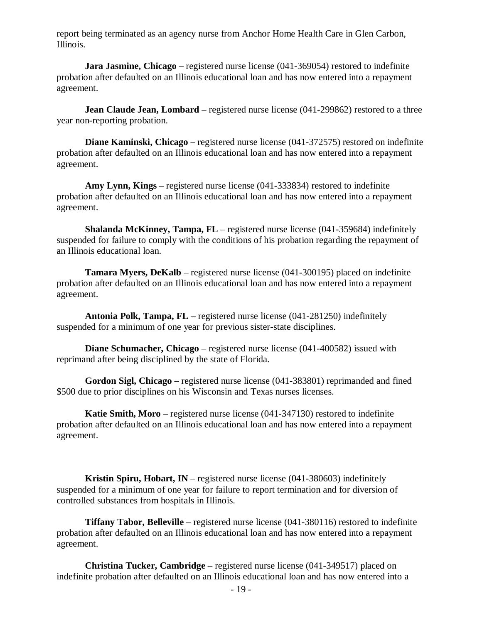report being terminated as an agency nurse from Anchor Home Health Care in Glen Carbon, Illinois.

**Jara Jasmine, Chicago** – registered nurse license (041-369054) restored to indefinite probation after defaulted on an Illinois educational loan and has now entered into a repayment agreement.

**Jean Claude Jean, Lombard** – registered nurse license (041-299862) restored to a three year non-reporting probation.

**Diane Kaminski, Chicago** – registered nurse license (041-372575) restored on indefinite probation after defaulted on an Illinois educational loan and has now entered into a repayment agreement.

**Amy Lynn, Kings** – registered nurse license (041-333834) restored to indefinite probation after defaulted on an Illinois educational loan and has now entered into a repayment agreement.

**Shalanda McKinney, Tampa, FL** – registered nurse license (041-359684) indefinitely suspended for failure to comply with the conditions of his probation regarding the repayment of an Illinois educational loan.

**Tamara Myers, DeKalb** – registered nurse license (041-300195) placed on indefinite probation after defaulted on an Illinois educational loan and has now entered into a repayment agreement.

**Antonia Polk, Tampa, FL** – registered nurse license (041-281250) indefinitely suspended for a minimum of one year for previous sister-state disciplines.

**Diane Schumacher, Chicago** – registered nurse license (041-400582) issued with reprimand after being disciplined by the state of Florida.

**Gordon Sigl, Chicago** – registered nurse license (041-383801) reprimanded and fined \$500 due to prior disciplines on his Wisconsin and Texas nurses licenses.

**Katie Smith, Moro** – registered nurse license (041-347130) restored to indefinite probation after defaulted on an Illinois educational loan and has now entered into a repayment agreement.

**Kristin Spiru, Hobart, IN** – registered nurse license (041-380603) indefinitely suspended for a minimum of one year for failure to report termination and for diversion of controlled substances from hospitals in Illinois.

**Tiffany Tabor, Belleville** – registered nurse license (041-380116) restored to indefinite probation after defaulted on an Illinois educational loan and has now entered into a repayment agreement.

**Christina Tucker, Cambridge** – registered nurse license (041-349517) placed on indefinite probation after defaulted on an Illinois educational loan and has now entered into a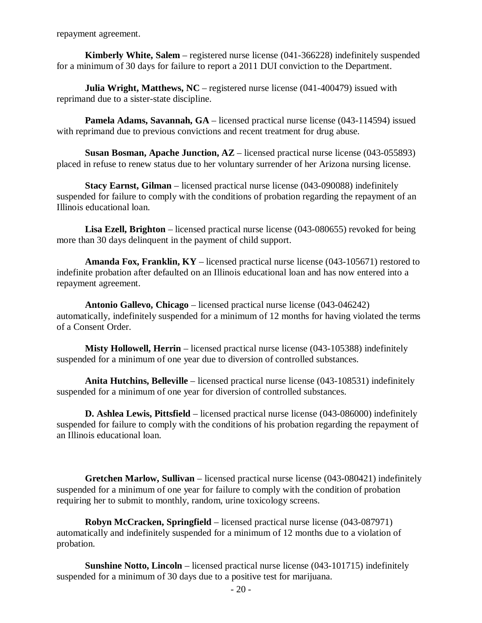repayment agreement.

**Kimberly White, Salem** – registered nurse license (041-366228) indefinitely suspended for a minimum of 30 days for failure to report a 2011 DUI conviction to the Department.

**Julia Wright, Matthews, NC** – registered nurse license (041-400479) issued with reprimand due to a sister-state discipline.

**Pamela Adams, Savannah, GA** – licensed practical nurse license (043-114594) issued with reprimand due to previous convictions and recent treatment for drug abuse.

**Susan Bosman, Apache Junction, AZ** – licensed practical nurse license (043-055893) placed in refuse to renew status due to her voluntary surrender of her Arizona nursing license.

**Stacy Earnst, Gilman** – licensed practical nurse license (043-090088) indefinitely suspended for failure to comply with the conditions of probation regarding the repayment of an Illinois educational loan.

**Lisa Ezell, Brighton** – licensed practical nurse license (043-080655) revoked for being more than 30 days delinquent in the payment of child support.

**Amanda Fox, Franklin, KY** – licensed practical nurse license (043-105671) restored to indefinite probation after defaulted on an Illinois educational loan and has now entered into a repayment agreement.

**Antonio Gallevo, Chicago** – licensed practical nurse license (043-046242) automatically, indefinitely suspended for a minimum of 12 months for having violated the terms of a Consent Order.

**Misty Hollowell, Herrin** – licensed practical nurse license (043-105388) indefinitely suspended for a minimum of one year due to diversion of controlled substances.

**Anita Hutchins, Belleville** – licensed practical nurse license (043-108531) indefinitely suspended for a minimum of one year for diversion of controlled substances.

**D. Ashlea Lewis, Pittsfield** – licensed practical nurse license (043-086000) indefinitely suspended for failure to comply with the conditions of his probation regarding the repayment of an Illinois educational loan.

**Gretchen Marlow, Sullivan** – licensed practical nurse license (043-080421) indefinitely suspended for a minimum of one year for failure to comply with the condition of probation requiring her to submit to monthly, random, urine toxicology screens.

**Robyn McCracken, Springfield** – licensed practical nurse license (043-087971) automatically and indefinitely suspended for a minimum of 12 months due to a violation of probation.

**Sunshine Notto, Lincoln** – licensed practical nurse license (043-101715) indefinitely suspended for a minimum of 30 days due to a positive test for marijuana.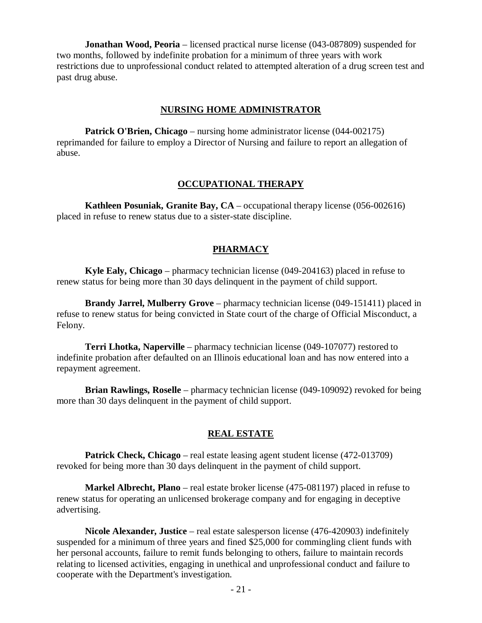**Jonathan Wood, Peoria** – licensed practical nurse license (043-087809) suspended for two months, followed by indefinite probation for a minimum of three years with work restrictions due to unprofessional conduct related to attempted alteration of a drug screen test and past drug abuse.

#### **NURSING HOME ADMINISTRATOR**

**Patrick O'Brien, Chicago** – nursing home administrator license (044-002175) reprimanded for failure to employ a Director of Nursing and failure to report an allegation of abuse.

#### **OCCUPATIONAL THERAPY**

**Kathleen Posuniak, Granite Bay, CA** – occupational therapy license (056-002616) placed in refuse to renew status due to a sister-state discipline.

#### **PHARMACY**

**Kyle Ealy, Chicago** – pharmacy technician license (049-204163) placed in refuse to renew status for being more than 30 days delinquent in the payment of child support.

**Brandy Jarrel, Mulberry Grove** – pharmacy technician license (049-151411) placed in refuse to renew status for being convicted in State court of the charge of Official Misconduct, a Felony.

**Terri Lhotka, Naperville** – pharmacy technician license (049-107077) restored to indefinite probation after defaulted on an Illinois educational loan and has now entered into a repayment agreement.

**Brian Rawlings, Roselle** – pharmacy technician license (049-109092) revoked for being more than 30 days delinquent in the payment of child support.

#### **REAL ESTATE**

**Patrick Check, Chicago** – real estate leasing agent student license (472-013709) revoked for being more than 30 days delinquent in the payment of child support.

**Markel Albrecht, Plano** – real estate broker license (475-081197) placed in refuse to renew status for operating an unlicensed brokerage company and for engaging in deceptive advertising.

**Nicole Alexander, Justice** – real estate salesperson license (476-420903) indefinitely suspended for a minimum of three years and fined \$25,000 for commingling client funds with her personal accounts, failure to remit funds belonging to others, failure to maintain records relating to licensed activities, engaging in unethical and unprofessional conduct and failure to cooperate with the Department's investigation.